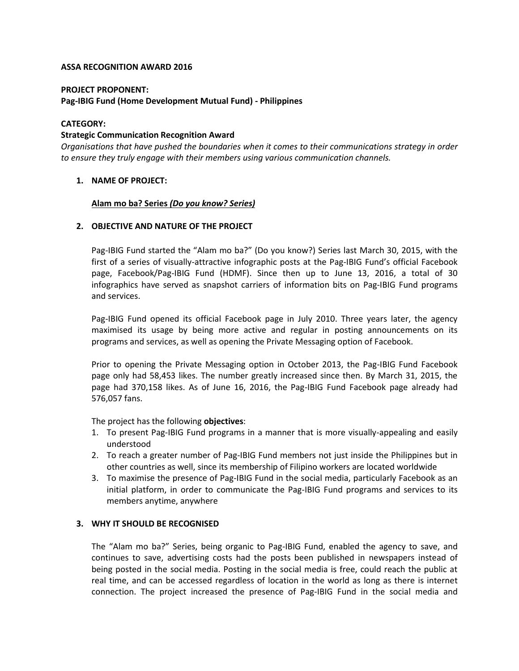#### **ASSA RECOGNITION AWARD 2016**

#### **PROJECT PROPONENT:**

# **Pag-IBIG Fund (Home Development Mutual Fund) - Philippines**

### **CATEGORY:**

#### **Strategic Communication Recognition Award**

*Organisations that have pushed the boundaries when it comes to their communications strategy in order to ensure they truly engage with their members using various communication channels.*

### **1. NAME OF PROJECT:**

### **Alam mo ba? Series** *(Do you know? Series)*

### **2. OBJECTIVE AND NATURE OF THE PROJECT**

Pag-IBIG Fund started the "Alam mo ba?" (Do you know?) Series last March 30, 2015, with the first of a series of visually-attractive infographic posts at the Pag-IBIG Fund's official Facebook page, Facebook/Pag-IBIG Fund (HDMF). Since then up to June 13, 2016, a total of 30 infographics have served as snapshot carriers of information bits on Pag-IBIG Fund programs and services.

Pag-IBIG Fund opened its official Facebook page in July 2010. Three years later, the agency maximised its usage by being more active and regular in posting announcements on its programs and services, as well as opening the Private Messaging option of Facebook.

Prior to opening the Private Messaging option in October 2013, the Pag-IBIG Fund Facebook page only had 58,453 likes. The number greatly increased since then. By March 31, 2015, the page had 370,158 likes. As of June 16, 2016, the Pag-IBIG Fund Facebook page already had 576,057 fans.

The project has the following **objectives**:

- 1. To present Pag-IBIG Fund programs in a manner that is more visually-appealing and easily understood
- 2. To reach a greater number of Pag-IBIG Fund members not just inside the Philippines but in other countries as well, since its membership of Filipino workers are located worldwide
- 3. To maximise the presence of Pag-IBIG Fund in the social media, particularly Facebook as an initial platform, in order to communicate the Pag-IBIG Fund programs and services to its members anytime, anywhere

#### **3. WHY IT SHOULD BE RECOGNISED**

The "Alam mo ba?" Series, being organic to Pag-IBIG Fund, enabled the agency to save, and continues to save, advertising costs had the posts been published in newspapers instead of being posted in the social media. Posting in the social media is free, could reach the public at real time, and can be accessed regardless of location in the world as long as there is internet connection. The project increased the presence of Pag-IBIG Fund in the social media and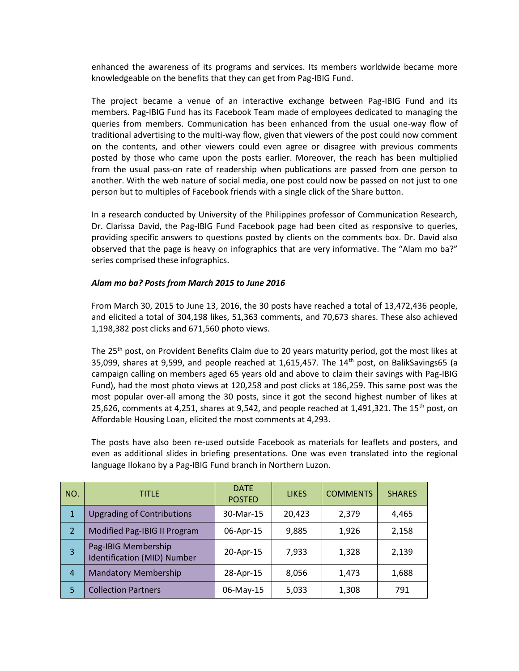enhanced the awareness of its programs and services. Its members worldwide became more knowledgeable on the benefits that they can get from Pag-IBIG Fund.

The project became a venue of an interactive exchange between Pag-IBIG Fund and its members. Pag-IBIG Fund has its Facebook Team made of employees dedicated to managing the queries from members. Communication has been enhanced from the usual one-way flow of traditional advertising to the multi-way flow, given that viewers of the post could now comment on the contents, and other viewers could even agree or disagree with previous comments posted by those who came upon the posts earlier. Moreover, the reach has been multiplied from the usual pass-on rate of readership when publications are passed from one person to another. With the web nature of social media, one post could now be passed on not just to one person but to multiples of Facebook friends with a single click of the Share button.

In a research conducted by University of the Philippines professor of Communication Research, Dr. Clarissa David, the Pag-IBIG Fund Facebook page had been cited as responsive to queries, providing specific answers to questions posted by clients on the comments box. Dr. David also observed that the page is heavy on infographics that are very informative. The "Alam mo ba?" series comprised these infographics.

### *Alam mo ba? Posts from March 2015 to June 2016*

From March 30, 2015 to June 13, 2016, the 30 posts have reached a total of 13,472,436 people, and elicited a total of 304,198 likes, 51,363 comments, and 70,673 shares. These also achieved 1,198,382 post clicks and 671,560 photo views.

The 25<sup>th</sup> post, on Provident Benefits Claim due to 20 years maturity period, got the most likes at 35,099, shares at 9,599, and people reached at 1,615,457. The  $14<sup>th</sup>$  post, on BalikSavings65 (a campaign calling on members aged 65 years old and above to claim their savings with Pag-IBIG Fund), had the most photo views at 120,258 and post clicks at 186,259. This same post was the most popular over-all among the 30 posts, since it got the second highest number of likes at 25,626, comments at 4,251, shares at 9,542, and people reached at 1,491,321. The 15<sup>th</sup> post, on Affordable Housing Loan, elicited the most comments at 4,293.

The posts have also been re-used outside Facebook as materials for leaflets and posters, and even as additional slides in briefing presentations. One was even translated into the regional language Ilokano by a Pag-IBIG Fund branch in Northern Luzon.

| NO.            | <b>TITLE</b>                                       | <b>DATE</b><br><b>POSTED</b> | <b>LIKES</b> | <b>COMMENTS</b> | <b>SHARES</b> |
|----------------|----------------------------------------------------|------------------------------|--------------|-----------------|---------------|
| $\mathbf{1}$   | <b>Upgrading of Contributions</b>                  | 30-Mar-15                    | 20,423       | 2,379           | 4,465         |
| 2              | Modified Pag-IBIG II Program                       | 06-Apr-15                    | 9,885        | 1,926           | 2,158         |
| 3              | Pag-IBIG Membership<br>Identification (MID) Number | 20-Apr-15                    | 7,933        | 1,328           | 2,139         |
| $\overline{4}$ | <b>Mandatory Membership</b>                        | 28-Apr-15                    | 8,056        | 1,473           | 1,688         |
| 5              | <b>Collection Partners</b>                         | 06-May-15                    | 5,033        | 1,308           | 791           |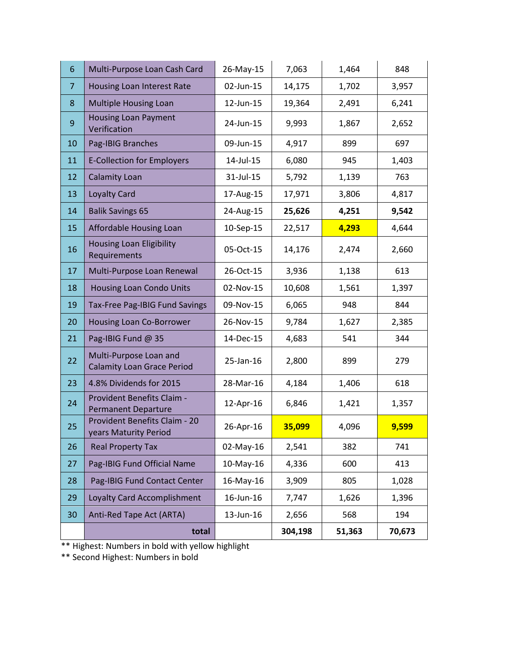| 6              | Multi-Purpose Loan Cash Card                                  | 26-May-15 | 7,063   | 1,464  | 848    |
|----------------|---------------------------------------------------------------|-----------|---------|--------|--------|
| $\overline{7}$ | Housing Loan Interest Rate                                    | 02-Jun-15 | 14,175  | 1,702  | 3,957  |
| 8              | <b>Multiple Housing Loan</b>                                  | 12-Jun-15 | 19,364  | 2,491  | 6,241  |
| 9              | <b>Housing Loan Payment</b><br>Verification                   | 24-Jun-15 | 9,993   | 1,867  | 2,652  |
| 10             | Pag-IBIG Branches                                             | 09-Jun-15 | 4,917   | 899    | 697    |
| 11             | <b>E-Collection for Employers</b>                             | 14-Jul-15 | 6,080   | 945    | 1,403  |
| 12             | <b>Calamity Loan</b>                                          | 31-Jul-15 | 5,792   | 1,139  | 763    |
| 13             | Loyalty Card                                                  | 17-Aug-15 | 17,971  | 3,806  | 4,817  |
| 14             | <b>Balik Savings 65</b>                                       | 24-Aug-15 | 25,626  | 4,251  | 9,542  |
| 15             | Affordable Housing Loan                                       | 10-Sep-15 | 22,517  | 4,293  | 4,644  |
| 16             | <b>Housing Loan Eligibility</b><br>Requirements               | 05-Oct-15 | 14,176  | 2,474  | 2,660  |
| 17             | Multi-Purpose Loan Renewal                                    | 26-Oct-15 | 3,936   | 1,138  | 613    |
| 18             | <b>Housing Loan Condo Units</b>                               | 02-Nov-15 | 10,608  | 1,561  | 1,397  |
| 19             | Tax-Free Pag-IBIG Fund Savings                                | 09-Nov-15 | 6,065   | 948    | 844    |
| 20             | Housing Loan Co-Borrower                                      | 26-Nov-15 | 9,784   | 1,627  | 2,385  |
| 21             | Pag-IBIG Fund @ 35                                            | 14-Dec-15 | 4,683   | 541    | 344    |
| 22             | Multi-Purpose Loan and<br><b>Calamity Loan Grace Period</b>   | 25-Jan-16 | 2,800   | 899    | 279    |
| 23             | 4.8% Dividends for 2015                                       | 28-Mar-16 | 4,184   | 1,406  | 618    |
| 24             | Provident Benefits Claim -<br><b>Permanent Departure</b>      | 12-Apr-16 | 6,846   | 1,421  | 1,357  |
| 25             | <b>Provident Benefits Claim - 20</b><br>years Maturity Period | 26-Apr-16 | 35,099  | 4,096  | 9,599  |
| 26             | <b>Real Property Tax</b>                                      | 02-May-16 | 2,541   | 382    | 741    |
| 27             | Pag-IBIG Fund Official Name                                   | 10-May-16 | 4,336   | 600    | 413    |
| 28             | Pag-IBIG Fund Contact Center                                  | 16-May-16 | 3,909   | 805    | 1,028  |
| 29             | Loyalty Card Accomplishment                                   | 16-Jun-16 | 7,747   | 1,626  | 1,396  |
| 30             | Anti-Red Tape Act (ARTA)                                      | 13-Jun-16 | 2,656   | 568    | 194    |
|                | total                                                         |           | 304,198 | 51,363 | 70,673 |

\*\* Highest: Numbers in bold with yellow highlight

\*\* Second Highest: Numbers in bold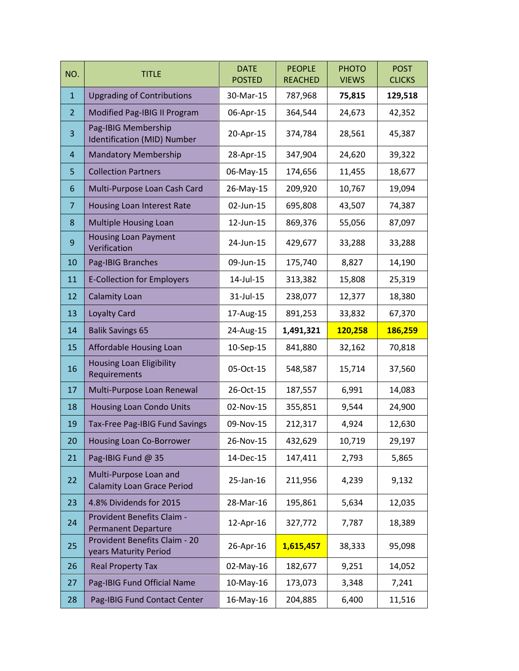| NO.            | <b>TITLE</b>                                                  | <b>DATE</b><br><b>POSTED</b> | <b>PEOPLE</b><br><b>REACHED</b> | <b>PHOTO</b><br><b>VIEWS</b> | <b>POST</b><br><b>CLICKS</b> |
|----------------|---------------------------------------------------------------|------------------------------|---------------------------------|------------------------------|------------------------------|
| $\mathbf{1}$   | <b>Upgrading of Contributions</b>                             | 30-Mar-15                    | 787,968                         | 75,815                       | 129,518                      |
| $\overline{2}$ | Modified Pag-IBIG II Program                                  | 06-Apr-15                    | 364,544                         | 24,673                       | 42,352                       |
| 3              | Pag-IBIG Membership<br>Identification (MID) Number            | 20-Apr-15                    | 374,784                         | 28,561                       | 45,387                       |
| 4              | <b>Mandatory Membership</b>                                   | 28-Apr-15                    | 347,904                         | 24,620                       | 39,322                       |
| 5              | <b>Collection Partners</b>                                    | 06-May-15                    | 174,656                         | 11,455                       | 18,677                       |
| 6              | Multi-Purpose Loan Cash Card                                  | 26-May-15                    | 209,920                         | 10,767                       | 19,094                       |
| $\overline{7}$ | Housing Loan Interest Rate                                    | 02-Jun-15                    | 695,808                         | 43,507                       | 74,387                       |
| 8              | <b>Multiple Housing Loan</b>                                  | 12-Jun-15                    | 869,376                         | 55,056                       | 87,097                       |
| $9\,$          | <b>Housing Loan Payment</b><br>Verification                   | 24-Jun-15                    | 429,677                         | 33,288                       | 33,288                       |
| 10             | Pag-IBIG Branches                                             | 09-Jun-15                    | 175,740                         | 8,827                        | 14,190                       |
| 11             | <b>E-Collection for Employers</b>                             | 14-Jul-15                    | 313,382                         | 15,808                       | 25,319                       |
| 12             | <b>Calamity Loan</b>                                          | 31-Jul-15                    | 238,077                         | 12,377                       | 18,380                       |
| 13             | <b>Loyalty Card</b>                                           | 17-Aug-15                    | 891,253                         | 33,832                       | 67,370                       |
| 14             | <b>Balik Savings 65</b>                                       | 24-Aug-15                    | 1,491,321                       | 120,258                      | 186,259                      |
| 15             | Affordable Housing Loan                                       | 10-Sep-15                    | 841,880                         | 32,162                       | 70,818                       |
| 16             | <b>Housing Loan Eligibility</b><br>Requirements               | 05-Oct-15                    | 548,587                         | 15,714                       | 37,560                       |
| 17             | Multi-Purpose Loan Renewal                                    | 26-Oct-15                    | 187,557                         | 6,991                        | 14,083                       |
| 18             | <b>Housing Loan Condo Units</b>                               | 02-Nov-15                    | 355,851                         | 9,544                        | 24,900                       |
| 19             | Tax-Free Pag-IBIG Fund Savings                                | 09-Nov-15                    | 212,317                         | 4,924                        | 12,630                       |
| 20             | <b>Housing Loan Co-Borrower</b>                               | 26-Nov-15                    | 432,629                         | 10,719                       | 29,197                       |
| 21             | Pag-IBIG Fund @ 35                                            | 14-Dec-15                    | 147,411                         | 2,793                        | 5,865                        |
| 22             | Multi-Purpose Loan and<br><b>Calamity Loan Grace Period</b>   | 25-Jan-16                    | 211,956                         | 4,239                        | 9,132                        |
| 23             | 4.8% Dividends for 2015                                       | 28-Mar-16                    | 195,861                         | 5,634                        | 12,035                       |
| 24             | Provident Benefits Claim -<br><b>Permanent Departure</b>      | 12-Apr-16                    | 327,772                         | 7,787                        | 18,389                       |
| 25             | <b>Provident Benefits Claim - 20</b><br>years Maturity Period | 26-Apr-16                    | 1,615,457                       | 38,333                       | 95,098                       |
| 26             | <b>Real Property Tax</b>                                      | 02-May-16                    | 182,677                         | 9,251                        | 14,052                       |
| 27             | Pag-IBIG Fund Official Name                                   | 10-May-16                    | 173,073                         | 3,348                        | 7,241                        |
| 28             | Pag-IBIG Fund Contact Center                                  | 16-May-16                    | 204,885                         | 6,400                        | 11,516                       |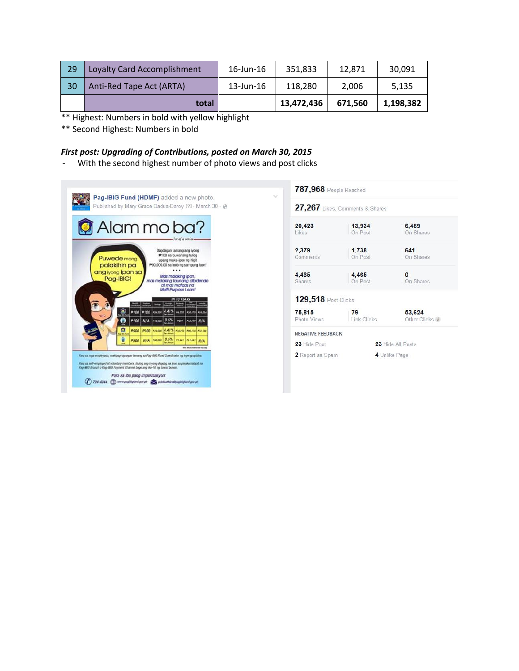| 29 | <b>Loyalty Card Accomplishment</b> | 16-Jun-16    | 351.833    | 12.871  | 30,091    |
|----|------------------------------------|--------------|------------|---------|-----------|
| 30 | Anti-Red Tape Act (ARTA)           | $13$ -Jun-16 | 118.280    | 2.006   | 5.135     |
|    | total                              |              | 13,472,436 | 671.560 | 1,198,382 |

\*\* Highest: Numbers in bold with yellow highlight

\*\* Second Highest: Numbers in bold

# *First post: Upgrading of Contributions, posted on March 30, 2015*

- With the second highest number of photo views and post clicks

| Published by Mary Grace Badua-Daroy [?] - March 30 -                                                                                                                                                                                                                           |                            | 27,267 Likes, Comments & Shares |                           |
|--------------------------------------------------------------------------------------------------------------------------------------------------------------------------------------------------------------------------------------------------------------------------------|----------------------------|---------------------------------|---------------------------|
| Alammoba?<br>Ist of a series-                                                                                                                                                                                                                                                  | 20.423<br>Likes            | 13.934<br>On Post               | 6.489<br>On Shares        |
| Dagdagan lamang ang iyong<br>P100 na buwanang hulog<br>Puwede mong<br>upang maka-ipon ng higit<br>P90,000.00 sa loob ng sampung taon!<br>palakihin pa                                                                                                                          | 2.379<br><b>Comments</b>   | 1.738<br>On Post                | 641<br>On Shares          |
| <br>ang iyong ipon sa<br>Mas malaking ipon,<br>Pag-IBIG!<br>mas malaking taunang dibidendo<br>at mas mataas na<br>Multi-Purpose Loan!                                                                                                                                          | 4,465<br>Shares            | 4,465<br>On Post                | $\mathbf{0}$<br>On Shares |
| <b>IN 10 YEARS</b><br><b>Read Print</b> Cold Inc.                                                                                                                                                                                                                              | <b>129,518 Post Clicks</b> |                                 |                           |
| Q<br>P100 P100 POLICE 4.41% PLOTE POLICE<br>PIZ.000 0.5% P2FF PIZ.299 N/A<br><b>P100 N/A</b>                                                                                                                                                                                   | 75,815<br>Photo Views      | 79<br><b>Link Clicks</b>        | 53,624<br>Other Clicks    |
| Ω<br>P500 P100 P72.000 4.41% P18.210 PRL210 P72.168                                                                                                                                                                                                                            | NEGATIVE FEEDBACK          |                                 |                           |
| PARADO 0.5% PLANT PST.AAT N/A<br><b>N/A</b><br><b>P500</b><br>to be Actual Universal Science and Later                                                                                                                                                                         | 23 Hide Post               |                                 | 23 Hide All Posts         |
| Para sa mga empleyado, makipag-ugnayan lamang sa Pag-BKG Fund Coordinator ng inyong opisina.<br>Para sa self-employed at voluntary members, ihulog ang inyong dagdag na ipon sa pinakamalapit na<br>Pag-IBIG Branch o Pag-IBIG Payment Channel bago ang ika-10 ng bawat buwan. | 2 Report as Spam           |                                 | 4 Unlike Page             |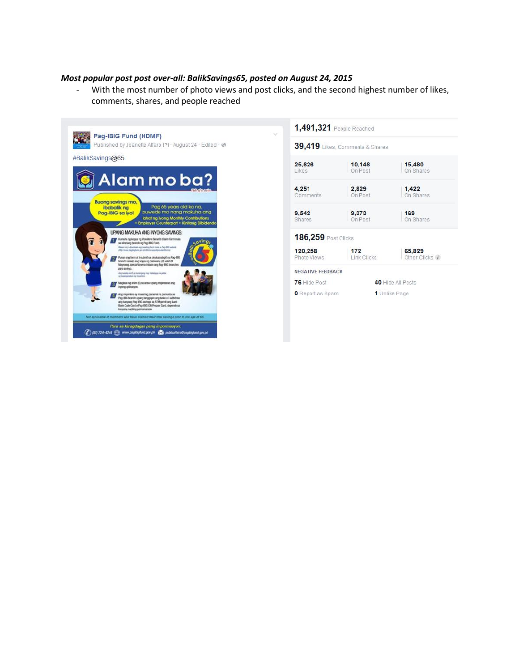# *Most popular post post over-all: BalikSavings65, posted on August 24, 2015*

- With the most number of photo views and post clicks, and the second highest number of likes, comments, shares, and people reached



| 39,419 Likes, Comments & Shares |                    |                          |  |  |
|---------------------------------|--------------------|--------------------------|--|--|
| 25,626<br>Likes                 | 10,146<br>On Post  | 15,480<br>On Shares      |  |  |
| 4,251<br>Comments               | 2,829<br>On Post   | 1,422<br>On Shares       |  |  |
| 9.542<br>Shares                 | 9.373<br>On Post   | 169<br>On Shares         |  |  |
| <b>186,259 Post Clicks</b>      |                    |                          |  |  |
| 120,258<br>Photo Views          | 172<br>Link Clicks | 65,829<br>Other Clicks / |  |  |
| <b>NEGATIVE FEEDBACK</b>        |                    |                          |  |  |
| 76 Hide Post                    |                    | 40 Hide All Posts        |  |  |
| O Report as Spam                |                    | 1 Unlike Page            |  |  |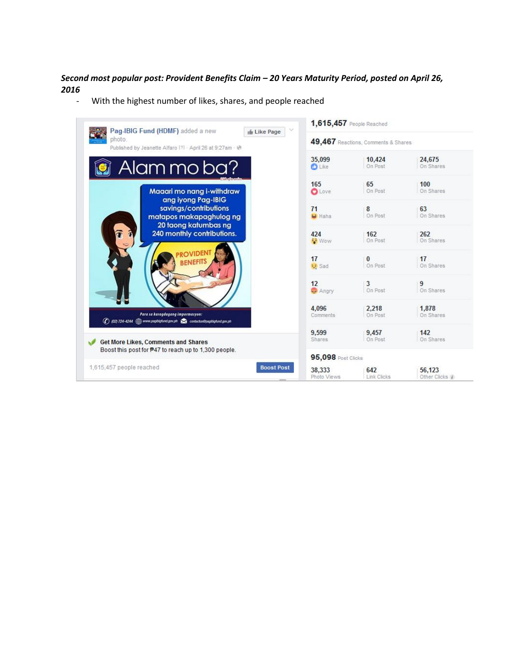# *Second most popular post: Provident Benefits Claim – 20 Years Maturity Period, posted on April 26, 2016*

- With the highest number of likes, shares, and people reached

| $\sim$<br>Pag-IBIG Fund (HDMF) added a new<br>Like Page                         | 1,615,457 People Reached  |                                     |                 |
|---------------------------------------------------------------------------------|---------------------------|-------------------------------------|-----------------|
| photo.<br>Published by Jeanette Alfaro [?] - April 26 at 9:27am - @             |                           | 49,467 Reactions, Comments & Shares |                 |
| Alammoba?                                                                       | 35,099                    | 10,424                              | 24,675          |
|                                                                                 | <b>D</b> Like             | On Post                             | On Shares       |
| Maaari mo nang i-withdraw                                                       | 165                       | 65                                  | 100             |
| ang iyong Pag-IBIG                                                              | <b>O</b> Love             | On Post                             | On Shares       |
| savings/contributions<br>matapos makapaghulog ng<br>20 taong katumbas ng        | 71<br>LJ Haha             | 8<br>On Post                        | 63<br>On Shares |
| 240 monthly contributions.                                                      | 424                       | 162                                 | 262             |
|                                                                                 | <b>Wow</b>                | On Post                             | On Shares       |
| <b><i>ROVIDENT</i></b>                                                          | 17                        | $\mathbf{0}$                        | 17              |
| <b>BENEFITS</b>                                                                 | <b>12</b> Sad             | On Post                             | On Shares       |
|                                                                                 | 12                        | 3                                   | 9               |
|                                                                                 | Angry                     | On Post                             | On Shares       |
| Para sa karagdagang impormasyon:                                                | 4.096                     | 2,218                               | 1.878           |
| (C) (02) 724-4244 (E) www.pagbigfund.gov.ph <a> contactua@pagbigfund.gov.ph</a> | Comments                  | On Post                             | On Shares       |
| <b>Get More Likes, Comments and Shares</b>                                      | 9.599                     | 9.457                               | 142             |
|                                                                                 | Shares                    | On Post                             | On Shares       |
| Boost this post for #47 to reach up to 1.300 people.                            | <b>95,098 Post Clicks</b> |                                     |                 |
| 1,615,457 people reached                                                        | 38,333                    | 642                                 | 56,123          |
| <b>Boost Post</b>                                                               | Photo Views               | Link Clicks                         | Other Clicks /  |